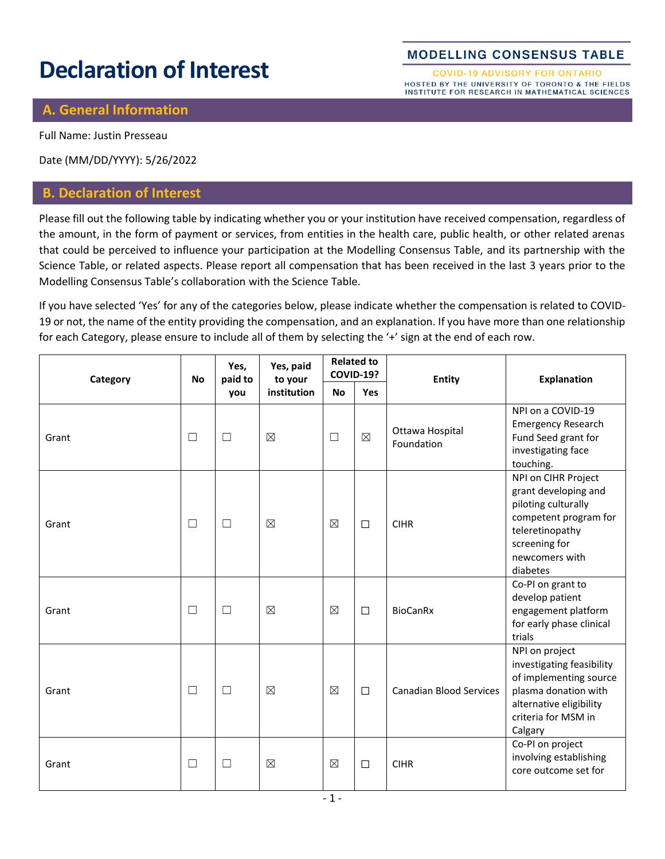# **Declaration of Interest**

#### **MODELLING CONSENSUS TABLE**

**COVID-19 ADVISORY FOR ONTARIO** HOSTED BY THE UNIVERSITY OF TORONTO & THE FIELDS INSTITUTE FOR RESEARCH IN MATHEMATICAL SCIENCES

#### **A. General Information**

Full Name: Justin Presseau

Date (MM/DD/YYYY): 5/26/2022

#### **B. Declaration of Interest**

Please fill out the following table by indicating whether you or your institution have received compensation, regardless of the amount, in the form of payment or services, from entities in the health care, public health, or other related arenas that could be perceived to influence your participation at the Modelling Consensus Table, and its partnership with the Science Table, or related aspects. Please report all compensation that has been received in the last 3 years prior to the Modelling Consensus Table's collaboration with the Science Table.

If you have selected 'Yes' for any of the categories below, please indicate whether the compensation is related to COVID-19 or not, the name of the entity providing the compensation, and an explanation. If you have more than one relationship for each Category, please ensure to include all of them by selecting the '+' sign at the end of each row.

| Category | <b>No</b> | Yes,<br>paid to<br>you | Yes, paid<br>to your<br>institution | <b>Related to</b><br><b>COVID-19?</b> |             | <b>Entity</b>                  | <b>Explanation</b>                                                                                                                                            |
|----------|-----------|------------------------|-------------------------------------|---------------------------------------|-------------|--------------------------------|---------------------------------------------------------------------------------------------------------------------------------------------------------------|
|          |           |                        |                                     | <b>No</b>                             | <b>Yes</b>  |                                |                                                                                                                                                               |
| Grant    | $\Box$    | $\Box$                 | $\boxtimes$                         | $\Box$                                | $\boxtimes$ | Ottawa Hospital<br>Foundation  | NPI on a COVID-19<br><b>Emergency Research</b><br>Fund Seed grant for<br>investigating face<br>touching.                                                      |
| Grant    | $\Box$    | $\Box$                 | $\boxtimes$                         | $\boxtimes$                           | $\Box$      | <b>CIHR</b>                    | NPI on CIHR Project<br>grant developing and<br>piloting culturally<br>competent program for<br>teleretinopathy<br>screening for<br>newcomers with<br>diabetes |
| Grant    | $\Box$    | $\Box$                 | $\boxtimes$                         | $\boxtimes$                           | $\Box$      | <b>BioCanRx</b>                | Co-PI on grant to<br>develop patient<br>engagement platform<br>for early phase clinical<br>trials                                                             |
| Grant    | $\Box$    | $\Box$                 | $\boxtimes$                         | $\boxtimes$                           | $\Box$      | <b>Canadian Blood Services</b> | NPI on project<br>investigating feasibility<br>of implementing source<br>plasma donation with<br>alternative eligibility<br>criteria for MSM in<br>Calgary    |
| Grant    | $\Box$    | $\Box$                 | $\boxtimes$                         | $\boxtimes$                           | $\Box$      | <b>CIHR</b>                    | Co-PI on project<br>involving establishing<br>core outcome set for                                                                                            |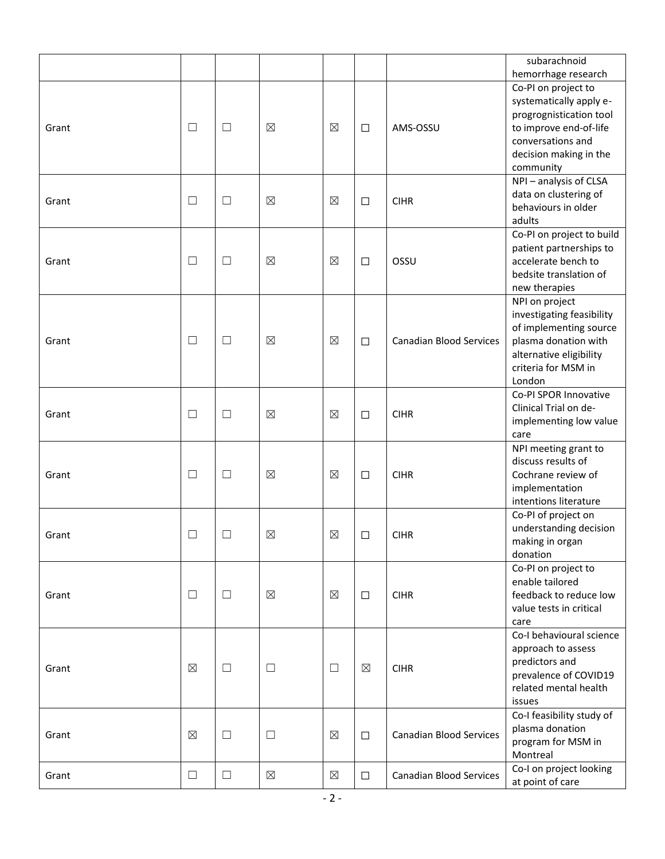|       |             |        |             |             |             |                                | subarachnoid                                   |
|-------|-------------|--------|-------------|-------------|-------------|--------------------------------|------------------------------------------------|
|       |             |        |             |             |             |                                | hemorrhage research                            |
|       |             |        |             |             |             |                                | Co-PI on project to<br>systematically apply e- |
|       |             |        |             |             |             |                                | progrognistication tool                        |
| Grant | $\Box$      | $\Box$ | $\boxtimes$ | $\boxtimes$ | $\Box$      | AMS-OSSU                       | to improve end-of-life                         |
|       |             |        |             |             |             |                                | conversations and                              |
|       |             |        |             |             |             |                                | decision making in the                         |
|       |             |        |             |             |             |                                | community                                      |
|       |             |        |             |             |             |                                | NPI - analysis of CLSA                         |
|       |             |        |             |             |             |                                | data on clustering of                          |
| Grant | $\Box$      | $\Box$ | $\boxtimes$ | $\boxtimes$ | $\Box$      | <b>CIHR</b>                    | behaviours in older                            |
|       |             |        |             |             |             |                                | adults                                         |
|       |             |        |             |             |             |                                | Co-PI on project to build                      |
|       |             |        |             |             |             |                                | patient partnerships to                        |
| Grant | $\Box$      | $\Box$ | $\boxtimes$ | $\boxtimes$ | $\Box$      | OSSU                           | accelerate bench to                            |
|       |             |        |             |             |             |                                | bedsite translation of                         |
|       |             |        |             |             |             |                                | new therapies                                  |
|       |             |        |             |             |             |                                | NPI on project                                 |
|       |             |        |             |             |             |                                | investigating feasibility                      |
|       |             |        |             |             |             |                                | of implementing source                         |
| Grant | $\Box$      | $\Box$ | ⊠           | $\boxtimes$ | $\Box$      | <b>Canadian Blood Services</b> | plasma donation with                           |
|       |             |        |             |             |             |                                | alternative eligibility<br>criteria for MSM in |
|       |             |        |             |             |             |                                | London                                         |
|       |             |        |             |             |             |                                | Co-PI SPOR Innovative                          |
|       |             |        |             |             |             |                                | Clinical Trial on de-                          |
| Grant | $\Box$      | $\Box$ | ⊠           | $\boxtimes$ | $\Box$      | <b>CIHR</b>                    | implementing low value                         |
|       |             |        |             |             |             |                                | care                                           |
|       |             |        |             |             |             |                                | NPI meeting grant to                           |
|       |             |        |             |             |             |                                | discuss results of                             |
| Grant | $\Box$      | $\Box$ | $\boxtimes$ | $\boxtimes$ | $\Box$      | <b>CIHR</b>                    | Cochrane review of                             |
|       |             |        |             |             |             |                                | implementation                                 |
|       |             |        |             |             |             |                                | intentions literature                          |
|       |             |        |             |             |             |                                | Co-PI of project on                            |
| Grant | П           | $\Box$ | $\boxtimes$ | $\boxtimes$ | $\Box$      | <b>CIHR</b>                    | understanding decision                         |
|       |             |        |             |             |             |                                | making in organ                                |
|       |             |        |             |             |             |                                | donation                                       |
|       |             |        |             |             |             |                                | Co-PI on project to                            |
|       | $\Box$      |        | $\boxtimes$ | $\boxtimes$ |             |                                | enable tailored<br>feedback to reduce low      |
| Grant |             | $\Box$ |             |             | $\Box$      | <b>CIHR</b>                    | value tests in critical                        |
|       |             |        |             |             |             |                                | care                                           |
|       |             |        |             |             |             |                                | Co-I behavioural science                       |
|       |             |        |             |             |             |                                | approach to assess                             |
|       |             |        |             |             |             |                                | predictors and                                 |
| Grant | $\boxtimes$ | $\Box$ | $\Box$      | $\Box$      | $\boxtimes$ | <b>CIHR</b>                    | prevalence of COVID19                          |
|       |             |        |             |             |             |                                | related mental health                          |
|       |             |        |             |             |             |                                | issues                                         |
|       |             |        |             |             |             |                                | Co-I feasibility study of                      |
| Grant | $\boxtimes$ | $\Box$ | $\Box$      | $\boxtimes$ | $\Box$      | <b>Canadian Blood Services</b> | plasma donation                                |
|       |             |        |             |             |             |                                | program for MSM in                             |
|       |             |        |             |             |             |                                | Montreal                                       |
| Grant | $\Box$      | $\Box$ | $\boxtimes$ | $\boxtimes$ | $\Box$      | <b>Canadian Blood Services</b> | Co-I on project looking                        |
|       |             |        |             |             |             |                                | at point of care                               |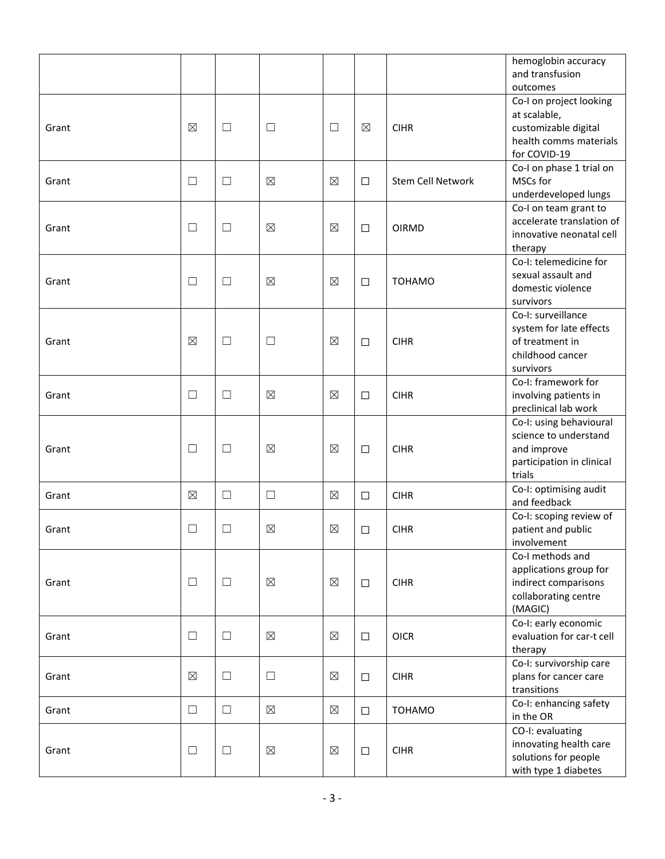|       |             |        |             |             |             |                          | hemoglobin accuracy<br>and transfusion<br>outcomes                                                        |
|-------|-------------|--------|-------------|-------------|-------------|--------------------------|-----------------------------------------------------------------------------------------------------------|
| Grant | ⊠           | $\Box$ | $\Box$      | $\Box$      | $\boxtimes$ | <b>CIHR</b>              | Co-I on project looking<br>at scalable,<br>customizable digital<br>health comms materials<br>for COVID-19 |
| Grant | $\Box$      | $\Box$ | $\boxtimes$ | $\boxtimes$ | $\Box$      | <b>Stem Cell Network</b> | Co-I on phase 1 trial on<br>MSCs for<br>underdeveloped lungs                                              |
| Grant | $\Box$      | $\Box$ | $\boxtimes$ | $\boxtimes$ | $\Box$      | <b>OIRMD</b>             | Co-I on team grant to<br>accelerate translation of<br>innovative neonatal cell<br>therapy                 |
| Grant | $\Box$      | ⊔      | $\boxtimes$ | $\boxtimes$ | $\Box$      | <b>TOHAMO</b>            | Co-I: telemedicine for<br>sexual assault and<br>domestic violence<br>survivors                            |
| Grant | $\boxtimes$ | $\Box$ | $\Box$      | $\boxtimes$ | $\Box$      | <b>CIHR</b>              | Co-I: surveillance<br>system for late effects<br>of treatment in<br>childhood cancer<br>survivors         |
| Grant | $\Box$      | ⊔      | $\boxtimes$ | $\boxtimes$ | $\Box$      | <b>CIHR</b>              | Co-I: framework for<br>involving patients in<br>preclinical lab work                                      |
| Grant | $\Box$      | $\Box$ | $\boxtimes$ | $\boxtimes$ | $\Box$      | <b>CIHR</b>              | Co-I: using behavioural<br>science to understand<br>and improve<br>participation in clinical<br>trials    |
| Grant | $\boxtimes$ | $\Box$ | $\Box$      | $\boxtimes$ | $\Box$      | <b>CIHR</b>              | Co-I: optimising audit<br>and feedback                                                                    |
| Grant | $\Box$      | $\Box$ | $\boxtimes$ | $\boxtimes$ | $\Box$      | <b>CIHR</b>              | Co-I: scoping review of<br>patient and public<br>involvement                                              |
| Grant | $\Box$      | $\Box$ | $\boxtimes$ | $\boxtimes$ | $\Box$      | <b>CIHR</b>              | Co-I methods and<br>applications group for<br>indirect comparisons<br>collaborating centre<br>(MAGIC)     |
| Grant | $\Box$      | ⊔      | $\boxtimes$ | $\boxtimes$ | $\Box$      | <b>OICR</b>              | Co-I: early economic<br>evaluation for car-t cell<br>therapy                                              |
| Grant | $\boxtimes$ | $\Box$ | $\Box$      | $\boxtimes$ | $\Box$      | <b>CIHR</b>              | Co-I: survivorship care<br>plans for cancer care<br>transitions                                           |
| Grant | $\Box$      | $\Box$ | $\boxtimes$ | $\boxtimes$ | $\Box$      | <b>TOHAMO</b>            | Co-I: enhancing safety<br>in the OR                                                                       |
| Grant | $\Box$      | $\Box$ | $\boxtimes$ | $\boxtimes$ | $\Box$      | <b>CIHR</b>              | CO-I: evaluating<br>innovating health care<br>solutions for people<br>with type 1 diabetes                |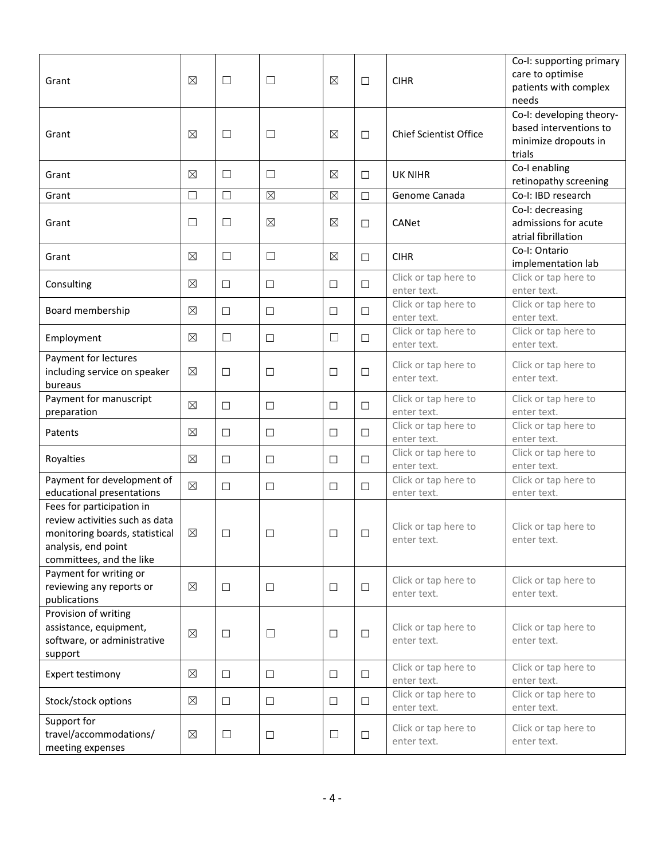| Grant                                                                                                                                            | ⊠           | $\Box$ | $\Box$      | $\boxtimes$ | $\Box$ | <b>CIHR</b>                         | Co-I: supporting primary<br>care to optimise<br>patients with complex<br>needs       |
|--------------------------------------------------------------------------------------------------------------------------------------------------|-------------|--------|-------------|-------------|--------|-------------------------------------|--------------------------------------------------------------------------------------|
| Grant                                                                                                                                            | ⊠           | $\Box$ | $\Box$      | $\boxtimes$ | $\Box$ | <b>Chief Scientist Office</b>       | Co-I: developing theory-<br>based interventions to<br>minimize dropouts in<br>trials |
| Grant                                                                                                                                            | ⊠           | $\Box$ | $\Box$      | $\boxtimes$ | $\Box$ | UK NIHR                             | Co-I enabling<br>retinopathy screening                                               |
| Grant                                                                                                                                            | $\Box$      | $\Box$ | $\boxtimes$ | $\boxtimes$ | $\Box$ | Genome Canada                       | Co-I: IBD research                                                                   |
| Grant                                                                                                                                            | $\Box$      | $\Box$ | $\boxtimes$ | $\boxtimes$ | $\Box$ | CANet                               | Co-I: decreasing<br>admissions for acute<br>atrial fibrillation                      |
| Grant                                                                                                                                            | ⊠           | $\Box$ | $\Box$      | $\boxtimes$ | $\Box$ | <b>CIHR</b>                         | Co-I: Ontario<br>implementation lab                                                  |
| Consulting                                                                                                                                       | ⊠           | □      | $\Box$      | $\Box$      | $\Box$ | Click or tap here to<br>enter text. | Click or tap here to<br>enter text.                                                  |
| Board membership                                                                                                                                 | $\boxtimes$ | □      | $\Box$      | $\Box$      | $\Box$ | Click or tap here to<br>enter text. | Click or tap here to<br>enter text.                                                  |
| Employment                                                                                                                                       | ⊠           | $\Box$ | $\Box$      | $\Box$      | $\Box$ | Click or tap here to<br>enter text. | Click or tap here to<br>enter text.                                                  |
| Payment for lectures<br>including service on speaker<br>bureaus                                                                                  | $\boxtimes$ | □      | $\Box$      | □           | $\Box$ | Click or tap here to<br>enter text. | Click or tap here to<br>enter text.                                                  |
| Payment for manuscript<br>preparation                                                                                                            | $\boxtimes$ | □      | $\Box$      | $\Box$      | □      | Click or tap here to<br>enter text. | Click or tap here to<br>enter text.                                                  |
| Patents                                                                                                                                          | ⊠           | $\Box$ | $\Box$      | $\Box$      | $\Box$ | Click or tap here to<br>enter text. | Click or tap here to<br>enter text.                                                  |
| Royalties                                                                                                                                        | ⊠           | $\Box$ | $\Box$      | □           | □      | Click or tap here to<br>enter text. | Click or tap here to<br>enter text.                                                  |
| Payment for development of<br>educational presentations                                                                                          | ⊠           | $\Box$ | $\Box$      | $\Box$      | □      | Click or tap here to<br>enter text. | Click or tap here to<br>enter text.                                                  |
| Fees for participation in<br>review activities such as data<br>monitoring boards, statistical<br>analysis, end point<br>committees, and the like | ⊠           | $\Box$ | П           | □           | $\Box$ | Click or tap here to<br>enter text. | Click or tap here to<br>enter text.                                                  |
| Payment for writing or<br>reviewing any reports or<br>publications                                                                               | $\boxtimes$ | $\Box$ | $\Box$      | $\Box$      | $\Box$ | Click or tap here to<br>enter text. | Click or tap here to<br>enter text.                                                  |
| Provision of writing<br>assistance, equipment,<br>software, or administrative<br>support                                                         | $\boxtimes$ | $\Box$ | $\Box$      | $\Box$      | $\Box$ | Click or tap here to<br>enter text. | Click or tap here to<br>enter text.                                                  |
| Expert testimony                                                                                                                                 | ⊠           | $\Box$ | $\Box$      | $\Box$      | $\Box$ | Click or tap here to<br>enter text. | Click or tap here to<br>enter text.                                                  |
| Stock/stock options                                                                                                                              | ⊠           | $\Box$ | $\Box$      | $\Box$      | $\Box$ | Click or tap here to<br>enter text. | Click or tap here to<br>enter text.                                                  |
| Support for<br>travel/accommodations/<br>meeting expenses                                                                                        | $\boxtimes$ | $\Box$ | $\Box$      | $\Box$      | $\Box$ | Click or tap here to<br>enter text. | Click or tap here to<br>enter text.                                                  |